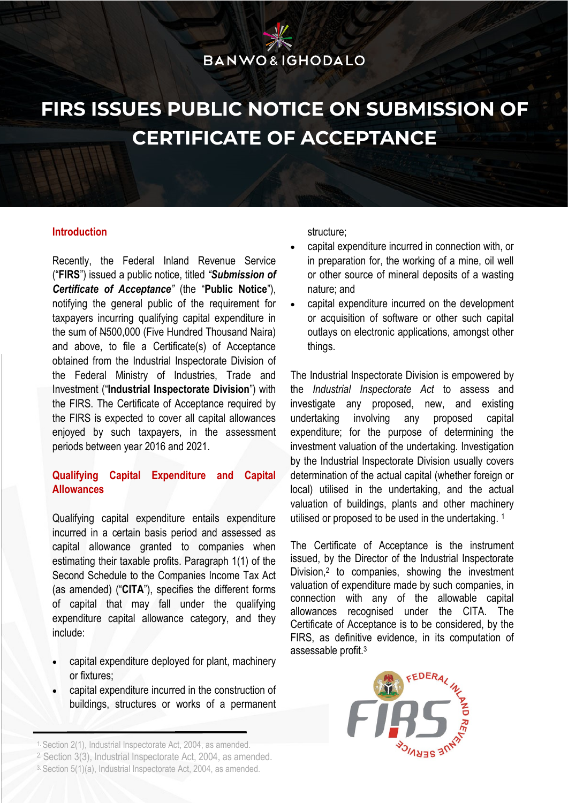# **BANWO&IGHODALO**

### **FIRS ISSUES PUBLIC NOTICE ON SUBMISSION OF CERTIFICATE OF ACCEPTANCE**

#### **Introduction**

Recently, the Federal Inland Revenue Service ("**FIRS**") issued a public notice, titled *"Submission of Certificate of Acceptance"* (the "**Public Notice**"), notifying the general public of the requirement for taxpayers incurring qualifying capital expenditure in the sum of N500,000 (Five Hundred Thousand Naira) and above, to file a Certificate(s) of Acceptance obtained from the Industrial Inspectorate Division of the Federal Ministry of Industries, Trade and Investment ("**Industrial Inspectorate Division**") with the FIRS. The Certificate of Acceptance required by the FIRS is expected to cover all capital allowances enjoyed by such taxpayers, in the assessment periods between year 2016 and 2021.

### **Qualifying Capital Expenditure and Capital Allowances**

Qualifying capital expenditure entails expenditure incurred in a certain basis period and assessed as capital allowance granted to companies when estimating their taxable profits. Paragraph 1(1) of the Second Schedule to the Companies Income Tax Act (as amended) ("**CITA**"), specifies the different forms of capital that may fall under the qualifying expenditure capital allowance category, and they include:

- capital expenditure deployed for plant, machinery or fixtures;
- capital expenditure incurred in the construction of buildings, structures or works of a permanent

2. Section 3(3), Industrial Inspectorate Act, 2004, as amended.

structure;

- capital expenditure incurred in connection with, or in preparation for, the working of a mine, oil well or other source of mineral deposits of a wasting nature; and
- capital expenditure incurred on the development or acquisition of software or other such capital outlays on electronic applications, amongst other things.

The Industrial Inspectorate Division is empowered by the *Industrial Inspectorate Act* to assess and investigate any proposed, new, and existing undertaking involving any proposed capital expenditure; for the purpose of determining the investment valuation of the undertaking. Investigation by the Industrial Inspectorate Division usually covers determination of the actual capital (whether foreign or local) utilised in the undertaking, and the actual valuation of buildings, plants and other machinery utilised or proposed to be used in the undertaking. 1

The Certificate of Acceptance is the instrument issued, by the Director of the Industrial Inspectorate Division,<sup>2</sup> to companies, showing the investment valuation of expenditure made by such companies, in connection with any of the allowable capital allowances recognised under the CITA. The Certificate of Acceptance is to be considered, by the FIRS, as definitive evidence, in its computation of assessable profit.<sup>3</sup>



<sup>1.</sup> Section 2(1), Industrial Inspectorate Act, 2004, as amended.

<sup>3.</sup> Section 5(1)(a), Industrial Inspectorate Act, 2004, as amended.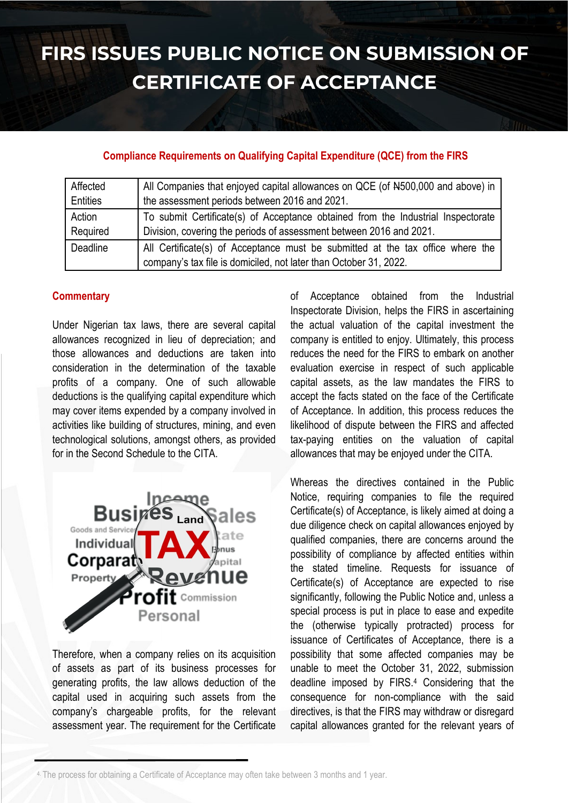## **FIRS ISSUES PUBLIC NOTICE ON SUBMISSION OF CERTIFICATE OF ACCEPTANCE**

#### **Compliance Requirements on Qualifying Capital Expenditure (QCE) from the FIRS**

| Affected | All Companies that enjoyed capital allowances on QCE (of N500,000 and above) in  |
|----------|----------------------------------------------------------------------------------|
| Entities | the assessment periods between 2016 and 2021.                                    |
| Action   | To submit Certificate(s) of Acceptance obtained from the Industrial Inspectorate |
| Required | Division, covering the periods of assessment between 2016 and 2021.              |
| Deadline | All Certificate(s) of Acceptance must be submitted at the tax office where the   |
|          | company's tax file is domiciled, not later than October 31, 2022.                |

### **Commentary**

Under Nigerian tax laws, there are several capital allowances recognized in lieu of depreciation; and those allowances and deductions are taken into consideration in the determination of the taxable profits of a company. One of such allowable deductions is the qualifying capital expenditure which may cover items expended by a company involved in activities like building of structures, mining, and even technological solutions, amongst others, as provided for in the Second Schedule to the CITA.



Therefore, when a company relies on its acquisition of assets as part of its business processes for generating profits, the law allows deduction of the capital used in acquiring such assets from the company's chargeable profits, for the relevant assessment year. The requirement for the Certificate

of Acceptance obtained from the Industrial Inspectorate Division, helps the FIRS in ascertaining the actual valuation of the capital investment the company is entitled to enjoy. Ultimately, this process reduces the need for the FIRS to embark on another evaluation exercise in respect of such applicable capital assets, as the law mandates the FIRS to accept the facts stated on the face of the Certificate of Acceptance. In addition, this process reduces the likelihood of dispute between the FIRS and affected tax-paying entities on the valuation of capital allowances that may be enjoyed under the CITA.

Whereas the directives contained in the Public Notice, requiring companies to file the required Certificate(s) of Acceptance, is likely aimed at doing a due diligence check on capital allowances enjoyed by qualified companies, there are concerns around the possibility of compliance by affected entities within the stated timeline. Requests for issuance of Certificate(s) of Acceptance are expected to rise significantly, following the Public Notice and, unless a special process is put in place to ease and expedite the (otherwise typically protracted) process for issuance of Certificates of Acceptance, there is a possibility that some affected companies may be unable to meet the October 31, 2022, submission deadline imposed by FIRS.<sup>4</sup> Considering that the consequence for non-compliance with the said directives, is that the FIRS may withdraw or disregard capital allowances granted for the relevant years of

<sup>4.</sup> The process for obtaining a Certificate of Acceptance may often take between 3 months and 1 year.